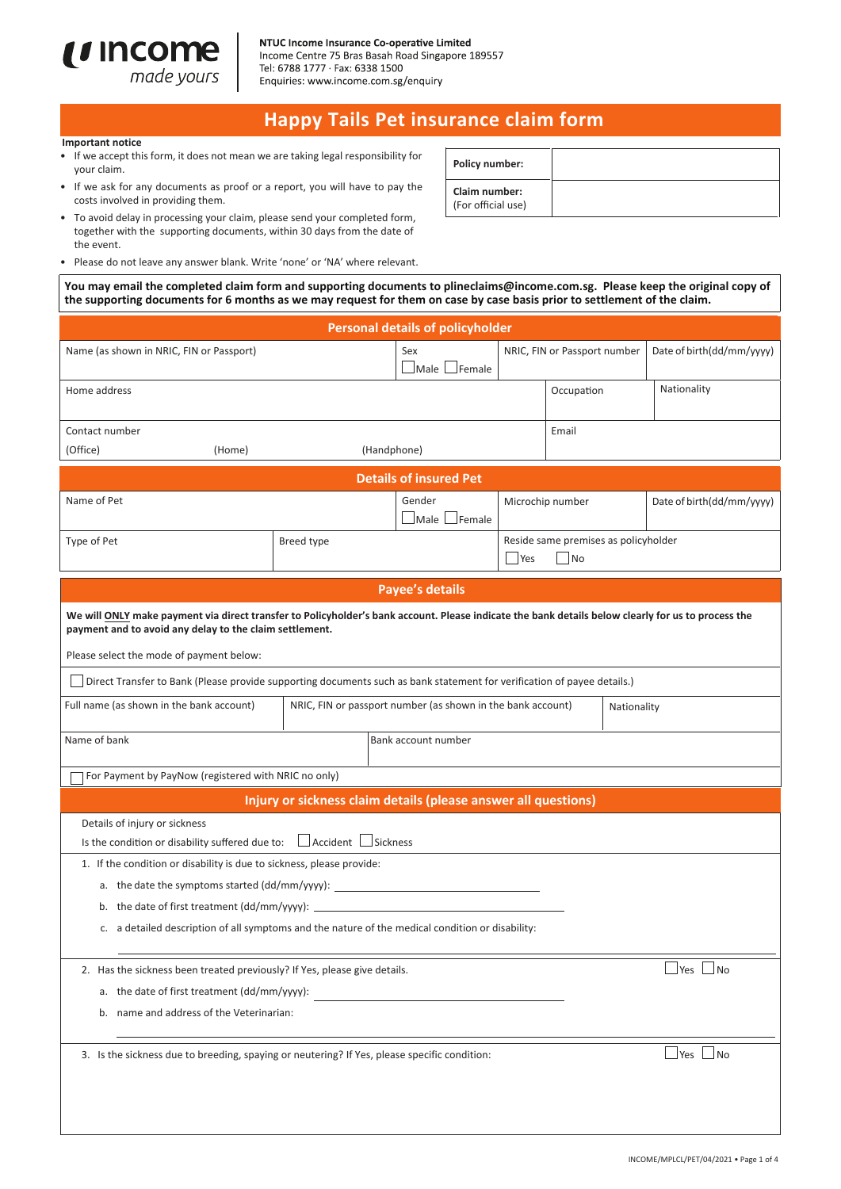

#### NTUC Income Insurance Co-operative Limited

Income Centre 75 Bras Basah Road Singapore 189557 Tel: 6788 1777 · Fax: 6338 1500 Enquiries: www.income.com.sg/enquiry

# **Happy Tails Pet insurance claim form**

#### *<u>Important notice</u>*

- If we accept this form, it does not mean we are taking legal responsibility for your claim.
- If we ask for any documents as proof or a report, you will have to pay the costs involved in providing them.
- To avoid delay in processing your claim, please send your completed form, together with the supporting documents, within 30 days from the date of the event.
- Please do not leave any answer blank. Write 'none' or 'NA' where relevant.

You may email the completed claim form and supporting documents to plineclaims@income.com.sg. Please keep the original copy of the supporting documents for 6 months as we may request for them on case by case basis prior to settlement of the claim.

| <b>Personal details of policyholder</b>                                                                                                                                                                       |                                                                            |                                                                |                                                    |                                |  |                                      |  |
|---------------------------------------------------------------------------------------------------------------------------------------------------------------------------------------------------------------|----------------------------------------------------------------------------|----------------------------------------------------------------|----------------------------------------------------|--------------------------------|--|--------------------------------------|--|
| Name (as shown in NRIC, FIN or Passport)                                                                                                                                                                      |                                                                            | Sex<br>$\Box$ Male $\Box$ Female                               |                                                    | NRIC, FIN or Passport number   |  | Date of birth(dd/mm/yyyy)            |  |
| Home address                                                                                                                                                                                                  |                                                                            |                                                                |                                                    | Occupation                     |  | Nationality                          |  |
| Contact number                                                                                                                                                                                                |                                                                            |                                                                |                                                    | Email                          |  |                                      |  |
| (Office)<br>(Home)                                                                                                                                                                                            |                                                                            | (Handphone)                                                    |                                                    |                                |  |                                      |  |
|                                                                                                                                                                                                               |                                                                            | <b>Details of insured Pet</b>                                  |                                                    |                                |  |                                      |  |
| Name of Pet                                                                                                                                                                                                   |                                                                            | Gender<br>Male Female                                          |                                                    | Microchip number               |  | Date of birth(dd/mm/yyyy)            |  |
| Type of Pet                                                                                                                                                                                                   | Breed type                                                                 |                                                                | Reside same premises as policyholder<br>Yes<br> No |                                |  |                                      |  |
|                                                                                                                                                                                                               |                                                                            | <b>Payee's details</b>                                         |                                                    |                                |  |                                      |  |
| We will ONLY make payment via direct transfer to Policyholder's bank account. Please indicate the bank details below clearly for us to process the<br>payment and to avoid any delay to the claim settlement. |                                                                            |                                                                |                                                    |                                |  |                                      |  |
| Please select the mode of payment below:                                                                                                                                                                      |                                                                            |                                                                |                                                    |                                |  |                                      |  |
| Direct Transfer to Bank (Please provide supporting documents such as bank statement for verification of payee details.)                                                                                       |                                                                            |                                                                |                                                    |                                |  |                                      |  |
| Full name (as shown in the bank account)                                                                                                                                                                      | NRIC, FIN or passport number (as shown in the bank account)<br>Nationality |                                                                |                                                    |                                |  |                                      |  |
| Bank account number<br>Name of bank                                                                                                                                                                           |                                                                            |                                                                |                                                    |                                |  |                                      |  |
| For Payment by PayNow (registered with NRIC no only)                                                                                                                                                          |                                                                            |                                                                |                                                    |                                |  |                                      |  |
|                                                                                                                                                                                                               |                                                                            | Injury or sickness claim details (please answer all questions) |                                                    |                                |  |                                      |  |
| Details of injury or sickness<br>Is the condition or disability suffered due to:                                                                                                                              | $\Box$ Accident $\Box$ Sickness                                            |                                                                |                                                    |                                |  |                                      |  |
| 1. If the condition or disability is due to sickness, please provide:                                                                                                                                         |                                                                            |                                                                |                                                    |                                |  |                                      |  |
| a. the date the symptoms started (dd/mm/yyyy):                                                                                                                                                                |                                                                            |                                                                |                                                    |                                |  |                                      |  |
| b. the date of first treatment (dd/mm/yyyy):                                                                                                                                                                  |                                                                            |                                                                |                                                    |                                |  |                                      |  |
| c. a detailed description of all symptoms and the nature of the medical condition or disability:                                                                                                              |                                                                            |                                                                |                                                    |                                |  |                                      |  |
| 2. Has the sickness been treated previously? If Yes, please give details.                                                                                                                                     |                                                                            |                                                                |                                                    | $\exists$ Yes $\exists$<br>⊿No |  |                                      |  |
| a. the date of first treatment (dd/mm/yyyy):                                                                                                                                                                  |                                                                            |                                                                |                                                    |                                |  |                                      |  |
| b. name and address of the Veterinarian:                                                                                                                                                                      |                                                                            |                                                                |                                                    |                                |  |                                      |  |
| 3. Is the sickness due to breeding, spaying or neutering? If Yes, please specific condition:                                                                                                                  |                                                                            |                                                                |                                                    |                                |  | $\blacksquare$ Yes $\blacksquare$ No |  |
|                                                                                                                                                                                                               |                                                                            |                                                                |                                                    |                                |  |                                      |  |

| Policy number:                      |  |
|-------------------------------------|--|
| Claim number:<br>(For official use) |  |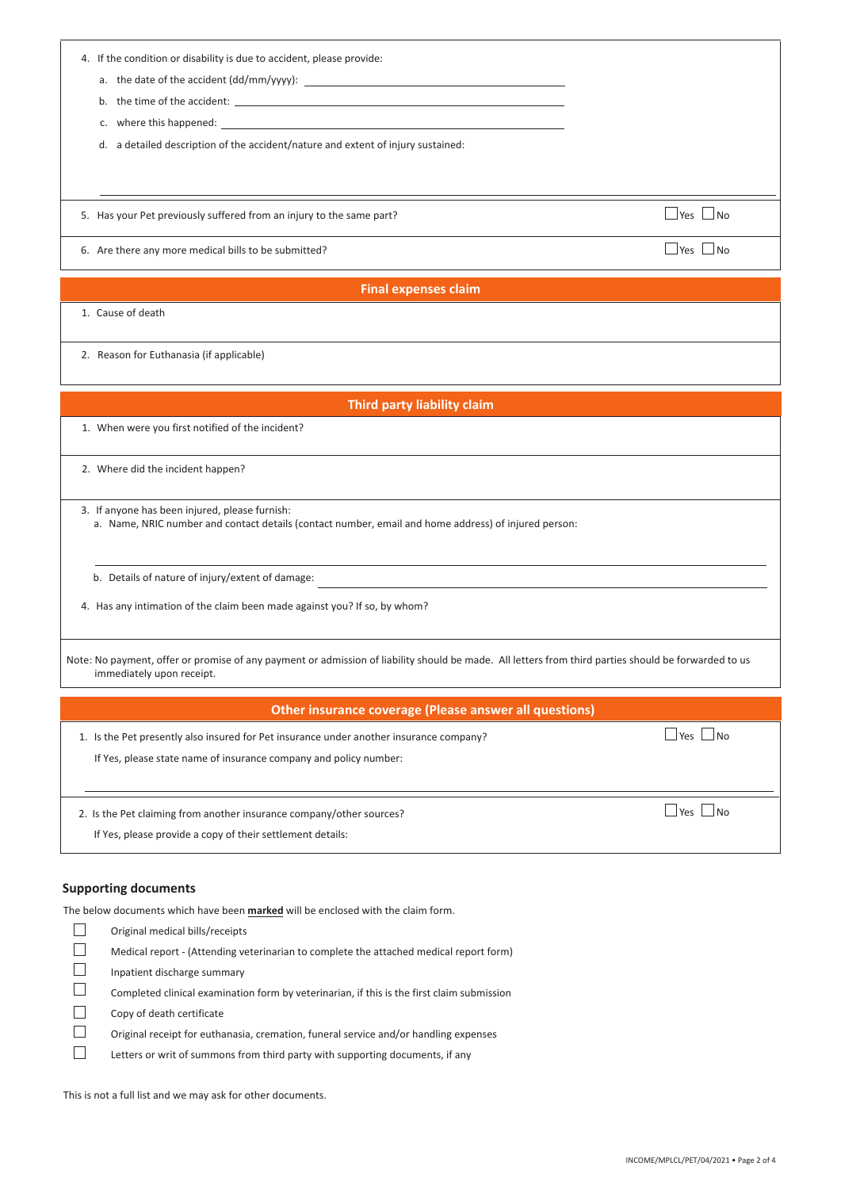| 4. If the condition or disability is due to accident, please provide:<br>a. the date of the accident (dd/mm/yyyy):<br>b. the time of the accident:<br>where this happened: experience and the set of the set of the set of the set of the set of the set of the set of the set of the set of the set of the set of the set of the set of the set of the set of the set of the set of<br>c.<br>d. a detailed description of the accident/nature and extent of injury sustained: |  |
|--------------------------------------------------------------------------------------------------------------------------------------------------------------------------------------------------------------------------------------------------------------------------------------------------------------------------------------------------------------------------------------------------------------------------------------------------------------------------------|--|
| $\Box$ Yes $\Box$ No<br>5. Has your Pet previously suffered from an injury to the same part?                                                                                                                                                                                                                                                                                                                                                                                   |  |
| $\Box$ Yes $\Box$ No<br>6. Are there any more medical bills to be submitted?                                                                                                                                                                                                                                                                                                                                                                                                   |  |
| <b>Final expenses claim</b>                                                                                                                                                                                                                                                                                                                                                                                                                                                    |  |
| 1. Cause of death                                                                                                                                                                                                                                                                                                                                                                                                                                                              |  |
| 2. Reason for Euthanasia (if applicable)                                                                                                                                                                                                                                                                                                                                                                                                                                       |  |
| Third party liability claim                                                                                                                                                                                                                                                                                                                                                                                                                                                    |  |
| 1. When were you first notified of the incident?                                                                                                                                                                                                                                                                                                                                                                                                                               |  |
| 2. Where did the incident happen?                                                                                                                                                                                                                                                                                                                                                                                                                                              |  |
| 3. If anyone has been injured, please furnish:<br>a. Name, NRIC number and contact details (contact number, email and home address) of injured person:                                                                                                                                                                                                                                                                                                                         |  |
| b. Details of nature of injury/extent of damage:<br><u> 1980 - John Stein, Amerikaansk politiker (* 1950)</u>                                                                                                                                                                                                                                                                                                                                                                  |  |
| 4. Has any intimation of the claim been made against you? If so, by whom?                                                                                                                                                                                                                                                                                                                                                                                                      |  |
| Note: No payment, offer or promise of any payment or admission of liability should be made. All letters from third parties should be forwarded to us<br>immediately upon receipt.                                                                                                                                                                                                                                                                                              |  |
| <b>Other insurance coverage (Please answer all questions)</b>                                                                                                                                                                                                                                                                                                                                                                                                                  |  |
| $\Box$ Yes $\Box$ No<br>1. Is the Pet presently also insured for Pet insurance under another insurance company?<br>If Yes, please state name of insurance company and policy number:                                                                                                                                                                                                                                                                                           |  |
| $\Box$ Yes $\Box$ No<br>2. Is the Pet claiming from another insurance company/other sources?<br>If Yes, please provide a copy of their settlement details:                                                                                                                                                                                                                                                                                                                     |  |

## **Supporting documents**

The below documents which have been **marked** will be enclosed with the claim form.

| Original medical bills/receipts                                                            |
|--------------------------------------------------------------------------------------------|
| Medical report - (Attending veterinarian to complete the attached medical report form)     |
| Inpatient discharge summary                                                                |
| Completed clinical examination form by veterinarian, if this is the first claim submission |
| Copy of death certificate                                                                  |
| Original receipt for euthanasia, cremation, funeral service and/or handling expenses       |
| Letters or writ of summons from third party with supporting documents, if any              |
|                                                                                            |

This is not a full list and we may ask for other documents.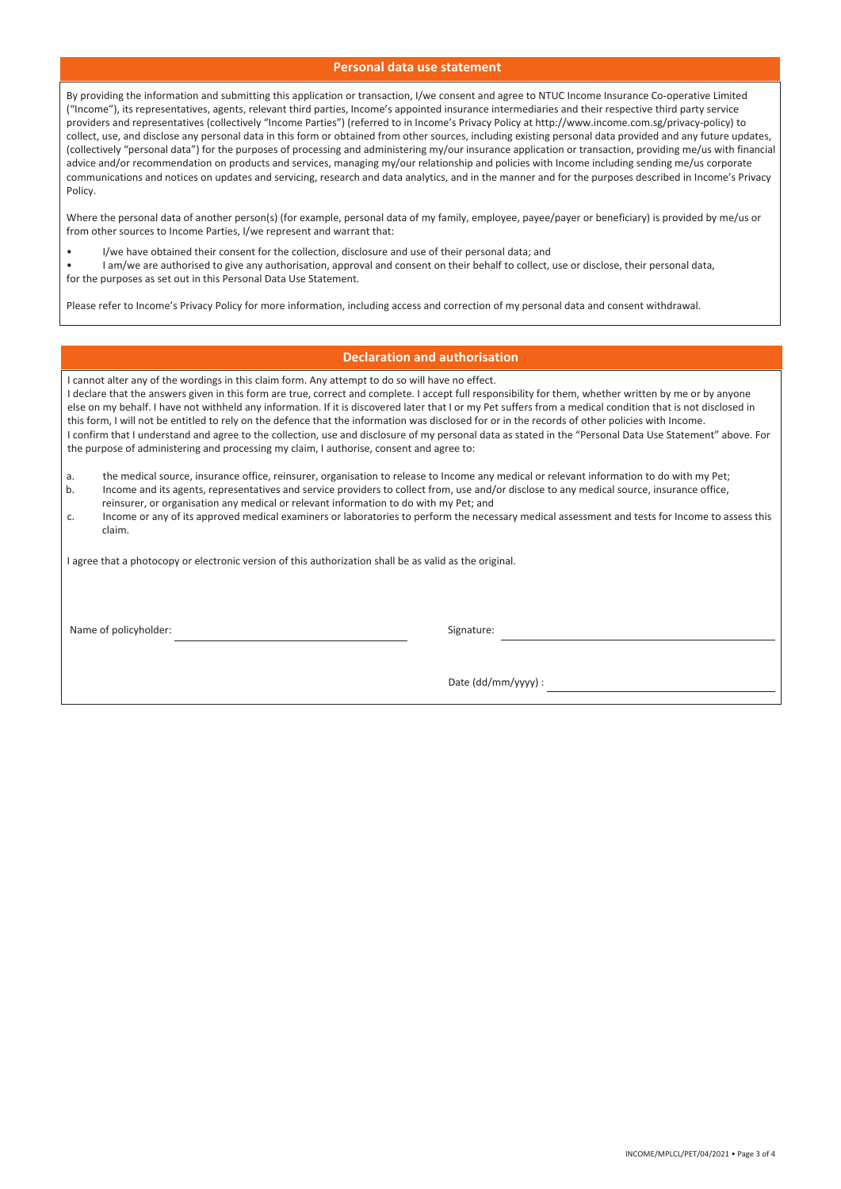### **Personal data use statement**

By providing the information and submitting this application or transaction, I/we consent and agree to NTUC Income Insurance Co-operative Limited ("Income"), its representatives, agents, relevant third parties, Income's appointed insurance intermediaries and their respective third party service providers and representatives (collectively "Income Parties") (referred to in Income's Privacy Policy at http://www.income.com.sg/privacy-policy) to collect, use, and disclose any personal data in this form or obtained from other sources, including existing personal data provided and any future updates, (collectively "personal data") for the purposes of processing and administering my/our insurance application or transaction, providing me/us with financial advice and/or recommendation on products and services, managing my/our relationship and policies with Income including sending me/us corporate communications and notices on updates and servicing, research and data analytics, and in the manner and for the purposes described in Income's Privacy Policy.

Where the personal data of another person(s) (for example, personal data of my family, employee, payee/payer or beneficiary) is provided by me/us or from other sources to Income Parties, I/we represent and warrant that:

• I/we have obtained their consent for the collection, disclosure and use of their personal data; and<br>
and their behalf to collect is a surfaction of the set of the collect is a surfact of the set of the collect is

I am/we are authorised to give any authorisation, approval and consent on their behalf to collect, use or disclose, their personal data, for the purposes as set out in this Personal Data Use Statement.

Please refer to Income's Privacy Policy for more information, including access and correction of my personal data and consent withdrawal.

### **Declaration and authorisation**

|                                                                                                                                                                                                                                                       | I cannot alter any of the wordings in this claim form. Any attempt to do so will have no effect.                                                                                                                                    |  |  |  |
|-------------------------------------------------------------------------------------------------------------------------------------------------------------------------------------------------------------------------------------------------------|-------------------------------------------------------------------------------------------------------------------------------------------------------------------------------------------------------------------------------------|--|--|--|
|                                                                                                                                                                                                                                                       | I declare that the answers given in this form are true, correct and complete. I accept full responsibility for them, whether written by me or by anyone                                                                             |  |  |  |
| else on my behalf. I have not withheld any information. If it is discovered later that I or my Pet suffers from a medical condition that is not disclosed in                                                                                          |                                                                                                                                                                                                                                     |  |  |  |
| this form, I will not be entitled to rely on the defence that the information was disclosed for or in the records of other policies with Income.                                                                                                      |                                                                                                                                                                                                                                     |  |  |  |
| I confirm that I understand and agree to the collection, use and disclosure of my personal data as stated in the "Personal Data Use Statement" above. For<br>the purpose of administering and processing my claim, I authorise, consent and agree to: |                                                                                                                                                                                                                                     |  |  |  |
|                                                                                                                                                                                                                                                       |                                                                                                                                                                                                                                     |  |  |  |
| a.                                                                                                                                                                                                                                                    | the medical source, insurance office, reinsurer, organisation to release to Income any medical or relevant information to do with my Pet;                                                                                           |  |  |  |
| b.                                                                                                                                                                                                                                                    | Income and its agents, representatives and service providers to collect from, use and/or disclose to any medical source, insurance office,<br>reinsurer, or organisation any medical or relevant information to do with my Pet; and |  |  |  |
| C.                                                                                                                                                                                                                                                    | Income or any of its approved medical examiners or laboratories to perform the necessary medical assessment and tests for Income to assess this                                                                                     |  |  |  |
|                                                                                                                                                                                                                                                       | claim.                                                                                                                                                                                                                              |  |  |  |
|                                                                                                                                                                                                                                                       |                                                                                                                                                                                                                                     |  |  |  |
|                                                                                                                                                                                                                                                       |                                                                                                                                                                                                                                     |  |  |  |

I agree that a photocopy or electronic version of this authorization shall be as valid as the original.

Name of policyholder:  $\qquad \qquad$  Signature:

Date (dd/mm/yyyy) :